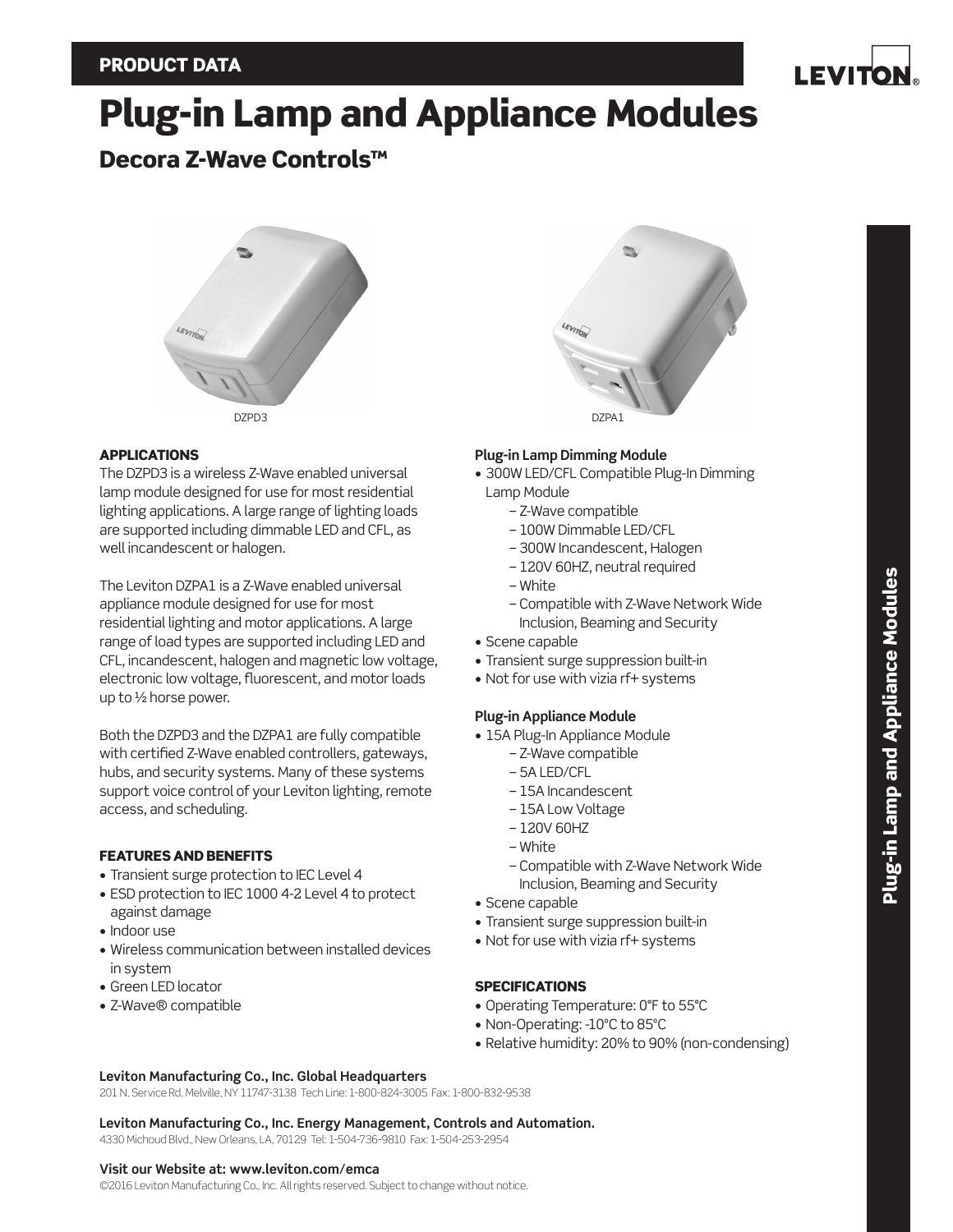I EVITO

# Plug-in Lamp and Appliance Modules

## Decora Z-Wave Controls™



#### APPLICATIONS

The DZPD3 is a wireless Z-Wave enabled universal lamp module designed for use for most residential lighting applications. A large range of lighting loads are supported including dimmable LED and CFL, as well incandescent or halogen.

The Leviton DZPA1 is a Z-Wave enabled universal appliance module designed for use for most residential lighting and motor applications. A large range of load types are supported including LED and CFL, incandescent, halogen and magnetic low voltage, electronic low voltage, fluorescent, and motor loads up to ½ horse power.

Both the DZPD3 and the DZPA1 are fully compatible with certified Z-Wave enabled controllers, gateways, hubs, and security systems. Many of these systems support voice control of your Leviton lighting, remote access, and scheduling.

## FEATURES AND BENEFITS

- Transient surge protection to IEC Level 4
- ESD protection to IEC 1000 4-2 Level 4 to protect against damage
- Indoor use
- Wireless communication between installed devices in system
- Green LED locator
- Z-Wave® compatible



## **Plug-in Lamp Dimming Module**

- 300W LED/CFL Compatible Plug-In Dimming Lamp Module
	- Z-Wave compatible
	- 100W Dimmable LED/CFL
	- 300W Incandescent, Halogen
	- 120V 60HZ, neutral required
	- White
	- Compatible with Z-Wave Network Wide Inclusion, Beaming and Security
- Scene capable
- Transient surge suppression built-in
- Not for use with vizia rf+ systems

## **Plug-in Appliance Module**

- 15A Plug-In Appliance Module
	- Z-Wave compatible
	- 5A LED/CFL
	- 15A Incandescent
	- 15A Low Voltage
	- 120V 60HZ
	- White
	- Compatible with Z-Wave Network Wide Inclusion, Beaming and Security
- Scene capable
- Transient surge suppression built-in
- Not for use with vizia rf+ systems

## **SPECIFICATIONS**

- Operating Temperature: 0°F to 55°C
- Non-Operating: -10ºC to 85ºC
- Relative humidity: 20% to 90% (non-condensing)

#### **Leviton Manufacturing Co., Inc. Global Headquarters**

201 N. Service Rd. Melville, NY 11747-3138 Tech Line: 1-800-824-3005 Fax: 1-800-832-9538

**Leviton Manufacturing Co., Inc. Energy Management, Controls and Automation.** 4330 Michoud Blvd., New Orleans, LA, 70129 Tel: 1-504-736-9810 Fax: 1-504-253-2954

#### **Visit our Website at: www.leviton.com/emca**

©2016 Leviton Manufacturing Co., Inc. All rights reserved. Subject to change without notice.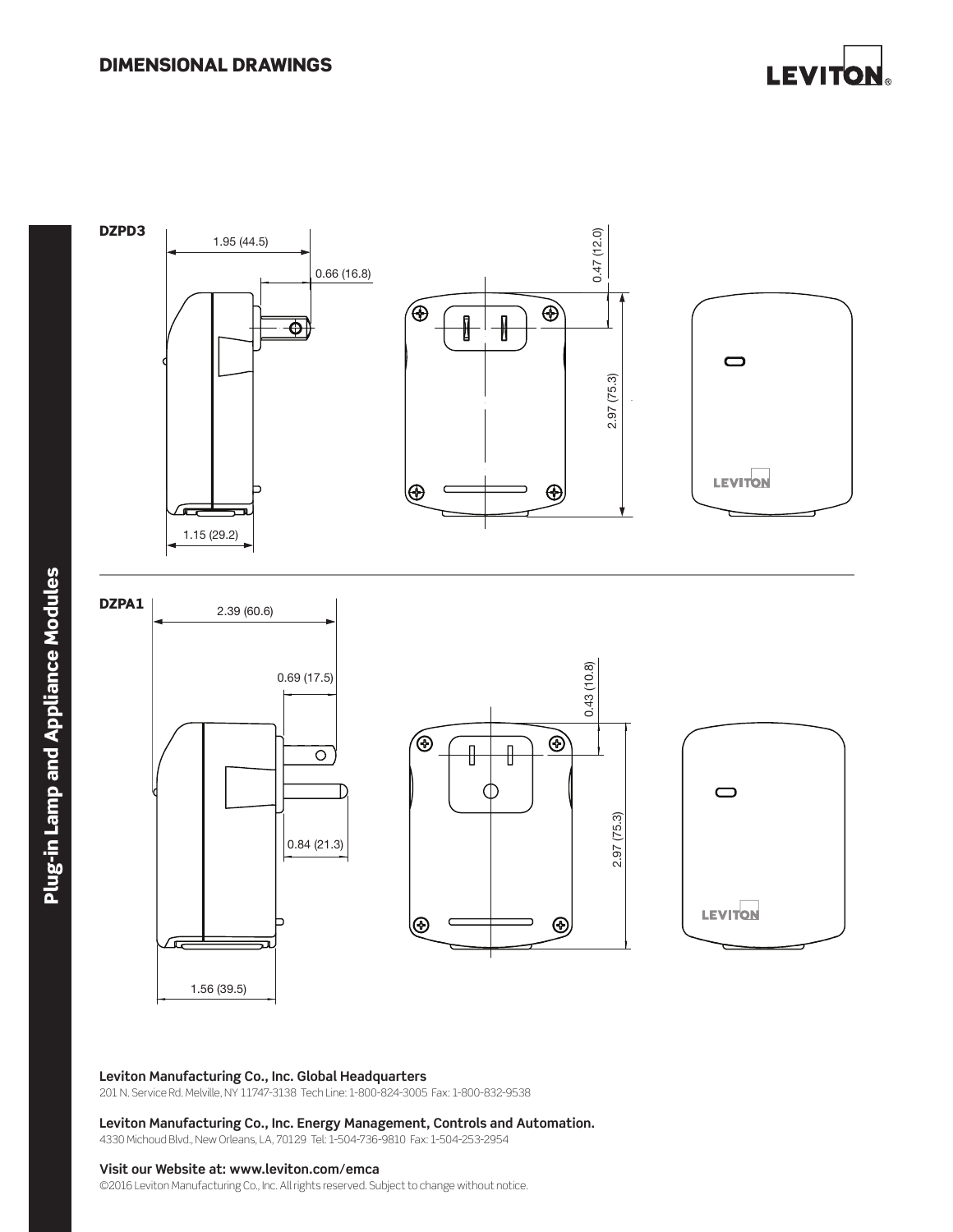



#### **Leviton Manufacturing Co., Inc. Global Headquarters** 1.56 (39.5)

201 N. Service Rd. Melville, NY 11747-3138 Tech Line: 1-800-824-3005 Fax: 1-800-832-9538

#### **Leviton Manufacturing Co., Inc. Energy Management, Controls and Automation.**

4330 Michoud Blvd., New Orleans, LA, 70129 Tel: 1-504-736-9810 Fax: 1-504-253-2954

#### **Visit our Website at: www.leviton.com/emca**

©2016 Leviton Manufacturing Co., Inc. All rights reserved. Subject to change without notice.